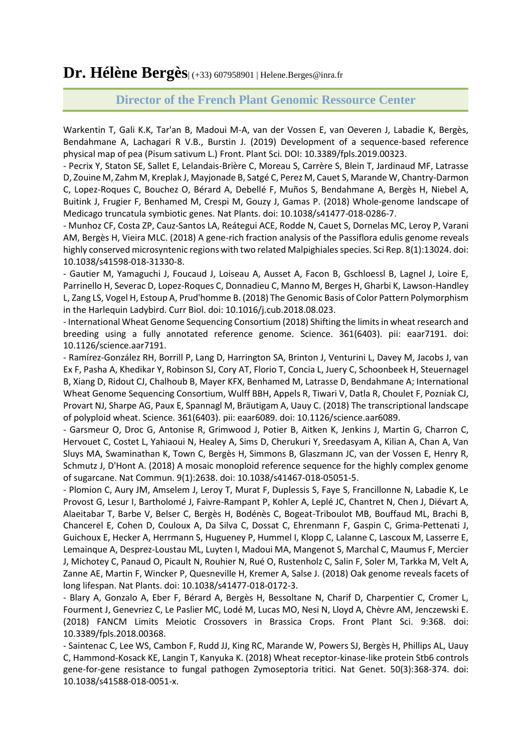**Dr. Hélène Bergès**| (+33) 607958901 | Helene.Berges@inra.fr

## **Director of the French Plant Genomic Ressource Center**

Warkentin T, Gali K.K, Tar'an B, Madoui M-A, van der Vossen E, van Oeveren J, Labadie K, Bergès, Bendahmane A, Lachagari R V.B., Burstin J. (2019) Development of a sequence-based reference physical map of pea (Pisum sativum L.) Front. Plant Sci. DOI: 10.3389/fpls.2019.00323.

- Pecrix Y, Staton SE, Sallet E, Lelandais-Brière C, Moreau S, Carrère S, Blein T, Jardinaud MF, Latrasse D, Zouine M, Zahm M, Kreplak J, Mayjonade B, Satgé C, Perez M, Cauet S, Marande W, Chantry-Darmon C, Lopez-Roques C, Bouchez O, Bérard A, Debellé F, Muños S, Bendahmane A, Bergès H, Niebel A, Buitink J, Frugier F, Benhamed M, Crespi M, Gouzy J, Gamas P. (2018) Whole-genome landscape of Medicago truncatula symbiotic genes. Nat Plants. doi: 10.1038/s41477-018-0286-7.

- Munhoz CF, Costa ZP, Cauz-Santos LA, Reátegui ACE, Rodde N, Cauet S, Dornelas MC, Leroy P, Varani AM, Bergès H, Vieira MLC. (2018) A gene-rich fraction analysis of the Passiflora edulis genome reveals highly conserved microsyntenic regions with two related Malpighiales species. Sci Rep. 8(1):13024. doi: 10.1038/s41598-018-31330-8.

- Gautier M, Yamaguchi J, Foucaud J, Loiseau A, Ausset A, Facon B, Gschloessl B, Lagnel J, Loire E, Parrinello H, Severac D, Lopez-Roques C, Donnadieu C, Manno M, Berges H, Gharbi K, Lawson-Handley L, Zang LS, Vogel H, Estoup A, Prud'homme B. (2018) The Genomic Basis of Color Pattern Polymorphism in the Harlequin Ladybird. Curr Biol. doi: 10.1016/j.cub.2018.08.023.

- International Wheat Genome Sequencing Consortium (2018) Shifting the limits in wheat research and breeding using a fully annotated reference genome. Science. 361(6403). pii: eaar7191. doi: 10.1126/science.aar7191.

- Ramírez-González RH, Borrill P, Lang D, Harrington SA, Brinton J, Venturini L, Davey M, Jacobs J, van Ex F, Pasha A, Khedikar Y, Robinson SJ, Cory AT, Florio T, Concia L, Juery C, Schoonbeek H, Steuernagel B, Xiang D, Ridout CJ, Chalhoub B, Mayer KFX, Benhamed M, Latrasse D, Bendahmane A; International Wheat Genome Sequencing Consortium, Wulff BBH, Appels R, Tiwari V, Datla R, Choulet F, Pozniak CJ, Provart NJ, Sharpe AG, Paux E, Spannagl M, Bräutigam A, Uauy C. (2018) The transcriptional landscape of polyploid wheat. Science. 361(6403). pii: eaar6089. doi: 10.1126/science.aar6089.

- Garsmeur O, Droc G, Antonise R, Grimwood J, Potier B, Aitken K, Jenkins J, Martin G, Charron C, Hervouet C, Costet L, Yahiaoui N, Healey A, Sims D, Cherukuri Y, Sreedasyam A, Kilian A, Chan A, Van Sluys MA, Swaminathan K, Town C, Bergès H, Simmons B, Glaszmann JC, van der Vossen E, Henry R, Schmutz J, D'Hont A. (2018) A mosaic monoploid reference sequence for the highly complex genome of sugarcane. Nat Commun. 9(1):2638. doi: 10.1038/s41467-018-05051-5.

- Plomion C, Aury JM, Amselem J, Leroy T, Murat F, Duplessis S, Faye S, Francillonne N, Labadie K, Le Provost G, Lesur I, Bartholomé J, Faivre-Rampant P, Kohler A, Leplé JC, Chantret N, Chen J, Diévart A, Alaeitabar T, Barbe V, Belser C, Bergès H, Bodénès C, Bogeat-Triboulot MB, Bouffaud ML, Brachi B, Chancerel E, Cohen D, Couloux A, Da Silva C, Dossat C, Ehrenmann F, Gaspin C, Grima-Pettenati J, Guichoux E, Hecker A, Herrmann S, Hugueney P, Hummel I, Klopp C, Lalanne C, Lascoux M, Lasserre E, Lemainque A, Desprez-Loustau ML, Luyten I, Madoui MA, Mangenot S, Marchal C, Maumus F, Mercier J, Michotey C, Panaud O, Picault N, Rouhier N, Rué O, Rustenholz C, Salin F, Soler M, Tarkka M, Velt A, Zanne AE, Martin F, Wincker P, Quesneville H, Kremer A, Salse J. (2018) Oak genome reveals facets of long lifespan. Nat Plants. doi: 10.1038/s41477-018-0172-3.

- Blary A, Gonzalo A, Eber F, Bérard A, Bergès H, Bessoltane N, Charif D, Charpentier C, Cromer L, Fourment J, Genevriez C, Le Paslier MC, Lodé M, Lucas MO, Nesi N, Lloyd A, Chèvre AM, Jenczewski E. (2018) FANCM Limits Meiotic Crossovers in Brassica Crops. Front Plant Sci. 9:368. doi: 10.3389/fpls.2018.00368.

- Saintenac C, Lee WS, Cambon F, Rudd JJ, King RC, Marande W, Powers SJ, Bergès H, Phillips AL, Uauy C, Hammond-Kosack KE, Langin T, Kanyuka K. (2018) Wheat receptor-kinase-like protein Stb6 controls gene-for-gene resistance to fungal pathogen Zymoseptoria tritici. Nat Genet. 50(3):368-374. doi: 10.1038/s41588-018-0051-x.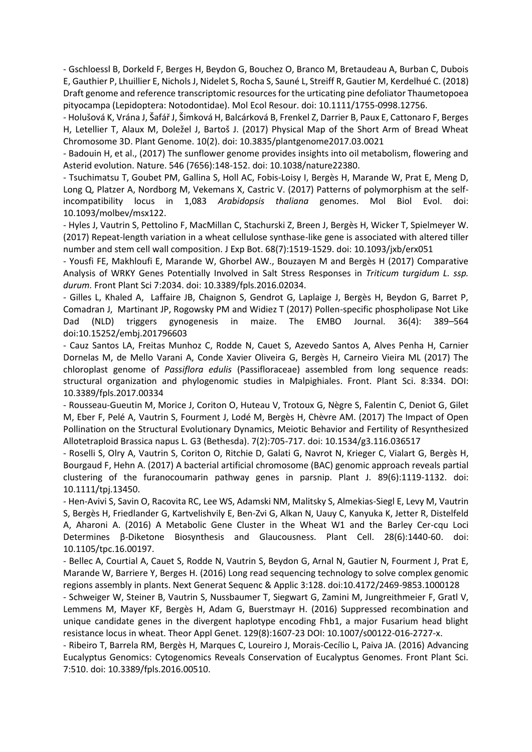- Gschloessl B, Dorkeld F, Berges H, Beydon G, Bouchez O, Branco M, Bretaudeau A, Burban C, Dubois E, Gauthier P, Lhuillier E, Nichols J, Nidelet S, Rocha S, Sauné L, Streiff R, Gautier M, Kerdelhué C. (2018) Draft genome and reference transcriptomic resources for the urticating pine defoliator Thaumetopoea pityocampa (Lepidoptera: Notodontidae). Mol Ecol Resour. doi: 10.1111/1755-0998.12756.

- Holušová K, Vrána J, Šafář J, Šimková H, Balcárková B, Frenkel Z, Darrier B, Paux E, Cattonaro F, Berges H, Letellier T, Alaux M, Doležel J, Bartoš J. (2017) Physical Map of the Short Arm of Bread Wheat Chromosome 3D. Plant Genome. 10(2). doi: 10.3835/plantgenome2017.03.0021

- Badouin H, et al., (2017) The sunflower genome provides insights into oil metabolism, flowering and Asterid evolution. Nature. 546 (7656):148-152. doi: 10.1038/nature22380.

- Tsuchimatsu T, Goubet PM, Gallina S, Holl AC, Fobis-Loisy I, Bergès H, Marande W, Prat E, Meng D, Long Q, Platzer A, Nordborg M, Vekemans X, Castric V. (2017) Patterns of polymorphism at the selfincompatibility locus in 1,083 *Arabidopsis thaliana* genomes. Mol Biol Evol. doi: 10.1093/molbev/msx122.

- Hyles J, Vautrin S, Pettolino F, MacMillan C, Stachurski Z, Breen J, Bergès H, Wicker T, Spielmeyer W. (2017) Repeat-length variation in a wheat cellulose synthase-like gene is associated with altered tiller number and stem cell wall composition. J Exp Bot. 68(7):1519-1529. doi: 10.1093/jxb/erx051

- Yousfi FE, Makhloufi E, Marande W, Ghorbel AW., Bouzayen M and Bergès H (2017) Comparative Analysis of WRKY Genes Potentially Involved in Salt Stress Responses in *Triticum turgidum L. ssp. durum.* Front Plant Sci 7:2034. doi: 10.3389/fpls.2016.02034.

- Gilles L, Khaled A, Laffaire JB, Chaignon S, Gendrot G, Laplaige J, Bergès H, Beydon G, Barret P, Comadran J, Martinant JP, Rogowsky PM and Widiez T (2017) Pollen-specific phospholipase Not Like Dad (NLD) triggers gynogenesis in maize. The EMBO Journal. 36(4): 389–564 doi:10.15252/embj.201796603

- Cauz Santos LA, Freitas Munhoz C, Rodde N, Cauet S, Azevedo Santos A, Alves Penha H, Carnier Dornelas M, de Mello Varani A, Conde Xavier Oliveira G, Bergès H, Carneiro Vieira ML (2017) The chloroplast genome of *Passiflora edulis* (Passifloraceae) assembled from long sequence reads: structural organization and phylogenomic studies in Malpighiales. Front. Plant Sci. 8:334. DOI: 10.3389/fpls.2017.00334

- Rousseau-Gueutin M, Morice J, Coriton O, Huteau V, Trotoux G, Nègre S, Falentin C, Deniot G, Gilet M, Eber F, Pelé A, Vautrin S, Fourment J, Lodé M, Bergès H, Chèvre AM. (2017) The Impact of Open Pollination on the Structural Evolutionary Dynamics, Meiotic Behavior and Fertility of Resynthesized Allotetraploid Brassica napus L. G3 (Bethesda). 7(2):705-717. doi: 10.1534/g3.116.036517

- Roselli S, Olry A, Vautrin S, Coriton O, Ritchie D, Galati G, Navrot N, Krieger C, Vialart G, Bergès H, Bourgaud F, Hehn A. (2017) A bacterial artificial chromosome (BAC) genomic approach reveals partial clustering of the furanocoumarin pathway genes in parsnip. Plant J. 89(6):1119-1132. doi: 10.1111/tpj.13450.

- Hen-Avivi S, Savin O, Racovita RC, Lee WS, Adamski NM, Malitsky S, Almekias-Siegl E, Levy M, Vautrin S, Bergès H, Friedlander G, Kartvelishvily E, Ben-Zvi G, Alkan N, Uauy C, Kanyuka K, Jetter R, Distelfeld A, Aharoni A. (2016) A Metabolic Gene Cluster in the Wheat W1 and the Barley Cer-cqu Loci Determines β-Diketone Biosynthesis and Glaucousness. Plant Cell. 28(6):1440-60. doi: 10.1105/tpc.16.00197.

- Bellec A, Courtial A, Cauet S, Rodde N, Vautrin S, Beydon G, Arnal N, Gautier N, Fourment J, Prat E, Marande W, Barriere Y, Berges H. (2016) Long read sequencing technology to solve complex genomic regions assembly in plants. Next Generat Sequenc & Applic 3:128. doi:10.4172/2469-9853.1000128

- Schweiger W, Steiner B, Vautrin S, Nussbaumer T, Siegwart G, Zamini M, Jungreithmeier F, Gratl V, Lemmens M, Mayer KF, Bergès H, Adam G, Buerstmayr H. (2016) Suppressed recombination and unique candidate genes in the divergent haplotype encoding Fhb1, a major Fusarium head blight resistance locus in wheat. Theor Appl Genet. 129(8):1607-23 DOI: 10.1007/s00122-016-2727-x.

- Ribeiro T, Barrela RM, Bergès H, Marques C, Loureiro J, Morais-Cecílio L, Paiva JA. (2016) Advancing Eucalyptus Genomics: Cytogenomics Reveals Conservation of Eucalyptus Genomes. Front Plant Sci. 7:510. doi: 10.3389/fpls.2016.00510.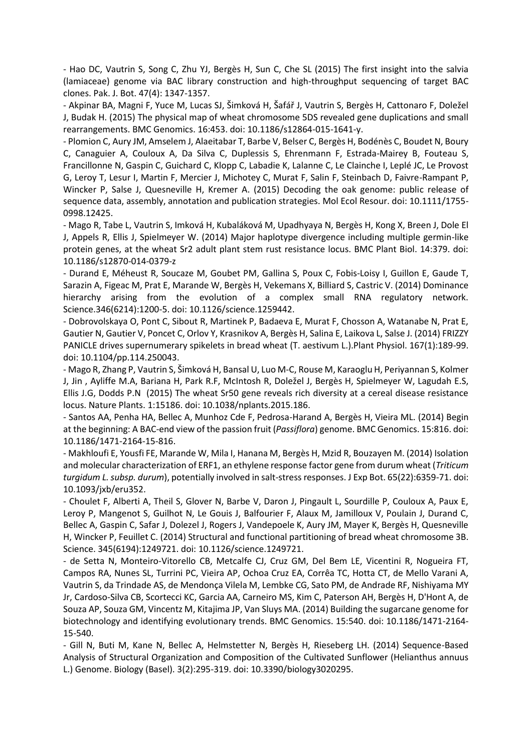- Hao DC, Vautrin S, Song C, Zhu YJ, Bergès H, Sun C, Che SL (2015) The first insight into the salvia (lamiaceae) genome via BAC library construction and high-throughput sequencing of target BAC clones. Pak. J. Bot. 47(4): 1347-1357.

- Akpinar BA, Magni F, Yuce M, Lucas SJ, Šimková H, Šafář J, Vautrin S, Bergès H, Cattonaro F, Doležel J, Budak H. (2015) The physical map of wheat chromosome 5DS revealed gene duplications and small rearrangements. BMC Genomics. 16:453. doi: 10.1186/s12864-015-1641-y.

- Plomion C, Aury JM, Amselem J, Alaeitabar T, Barbe V, Belser C, Bergès H, Bodénès C, Boudet N, Boury C, Canaguier A, Couloux A, Da Silva C, Duplessis S, Ehrenmann F, Estrada-Mairey B, Fouteau S, Francillonne N, Gaspin C, Guichard C, Klopp C, Labadie K, Lalanne C, Le Clainche I, Leplé JC, Le Provost G, Leroy T, Lesur I, Martin F, Mercier J, Michotey C, Murat F, Salin F, Steinbach D, Faivre-Rampant P, Wincker P, Salse J, Quesneville H, Kremer A. (2015) Decoding the oak genome: public release of sequence data, assembly, annotation and publication strategies. Mol Ecol Resour. doi: 10.1111/1755- 0998.12425.

- Mago R, Tabe L, Vautrin S, Imková H, Kubaláková M, Upadhyaya N, Bergès H, Kong X, Breen J, Dole El J, Appels R, Ellis J, Spielmeyer W. (2014) Major haplotype divergence including multiple germin-like protein genes, at the wheat Sr2 adult plant stem rust resistance locus. BMC Plant Biol. 14:379. doi: 10.1186/s12870-014-0379-z

- Durand E, Méheust R, Soucaze M, Goubet PM, Gallina S, Poux C, Fobis-Loisy I, Guillon E, Gaude T, Sarazin A, Figeac M, Prat E, Marande W, Bergès H, Vekemans X, Billiard S, Castric V. (2014) Dominance hierarchy arising from the evolution of a complex small RNA regulatory network. Science.346(6214):1200-5. doi: 10.1126/science.1259442.

- Dobrovolskaya O, Pont C, Sibout R, Martinek P, Badaeva E, Murat F, Chosson A, Watanabe N, Prat E, Gautier N, Gautier V, Poncet C, Orlov Y, Krasnikov A, Bergès H, Salina E, Laikova L, Salse J. (2014) FRIZZY PANICLE drives supernumerary spikelets in bread wheat (T. aestivum L.).Plant Physiol. 167(1):189-99. doi: 10.1104/pp.114.250043.

- Mago R, Zhang P, Vautrin S, Šimková H, Bansal U, Luo M-C, Rouse M, Karaoglu H, Periyannan S, Kolmer J, Jin , Ayliffe M.A, Bariana H, Park R.F, McIntosh R, Doležel J, Bergès H, Spielmeyer W, Lagudah E.S, Ellis J.G, Dodds P.N (2015) The wheat Sr50 gene reveals rich diversity at a cereal disease resistance locus. Nature Plants. 1:15186. doi: 10.1038/nplants.2015.186.

- Santos AA, Penha HA, Bellec A, Munhoz Cde F, Pedrosa-Harand A, Bergès H, Vieira ML. (2014) Begin at the beginning: A BAC-end view of the passion fruit (*Passiflora*) genome. BMC Genomics. 15:816. doi: 10.1186/1471-2164-15-816.

- Makhloufi E, Yousfi FE, Marande W, Mila I, Hanana M, Bergès H, Mzid R, Bouzayen M. (2014) Isolation and molecular characterization of ERF1, an ethylene response factor gene from durum wheat (*Triticum turgidum L. subsp. durum*), potentially involved in salt-stress responses. J Exp Bot. 65(22):6359-71. doi: 10.1093/jxb/eru352.

- Choulet F, Alberti A, Theil S, Glover N, Barbe V, Daron J, Pingault L, Sourdille P, Couloux A, Paux E, Leroy P, Mangenot S, Guilhot N, Le Gouis J, Balfourier F, Alaux M, Jamilloux V, Poulain J, Durand C, Bellec A, Gaspin C, Safar J, Dolezel J, Rogers J, Vandepoele K, Aury JM, Mayer K, Bergès H, Quesneville H, Wincker P, Feuillet C. (2014) Structural and functional partitioning of bread wheat chromosome 3B. Science. 345(6194):1249721. doi: 10.1126/science.1249721.

- de Setta N, Monteiro-Vitorello CB, Metcalfe CJ, Cruz GM, Del Bem LE, Vicentini R, Nogueira FT, Campos RA, Nunes SL, Turrini PC, Vieira AP, Ochoa Cruz EA, Corrêa TC, Hotta CT, de Mello Varani A, Vautrin S, da Trindade AS, de Mendonça Vilela M, Lembke CG, Sato PM, de Andrade RF, Nishiyama MY Jr, Cardoso-Silva CB, Scortecci KC, Garcia AA, Carneiro MS, Kim C, Paterson AH, Bergès H, D'Hont A, de Souza AP, Souza GM, Vincentz M, Kitajima JP, Van Sluys MA. (2014) Building the sugarcane genome for biotechnology and identifying evolutionary trends. BMC Genomics. 15:540. doi: 10.1186/1471-2164- 15-540.

- Gill N, Buti M, Kane N, Bellec A, Helmstetter N, Bergès H, Rieseberg LH. (2014) Sequence-Based Analysis of Structural Organization and Composition of the Cultivated Sunflower (Helianthus annuus L.) Genome. Biology (Basel). 3(2):295-319. doi: 10.3390/biology3020295.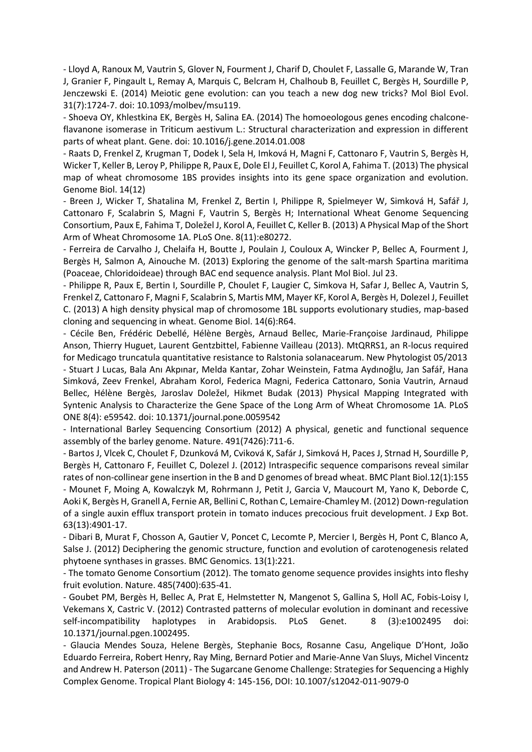- Lloyd A, Ranoux M, Vautrin S, Glover N, Fourment J, Charif D, Choulet F, Lassalle G, Marande W, Tran J, Granier F, Pingault L, Remay A, Marquis C, Belcram H, Chalhoub B, Feuillet C, Bergès H, Sourdille P, Jenczewski E. (2014) Meiotic gene evolution: can you teach a new dog new tricks? Mol Biol Evol. 31(7):1724-7. doi: 10.1093/molbev/msu119.

- Shoeva OY, Khlestkina EK, Bergès H, Salina EA. (2014) The homoeologous genes encoding chalconeflavanone isomerase in Triticum aestivum L.: Structural characterization and expression in different parts of wheat plant. Gene. doi: 10.1016/j.gene.2014.01.008

- Raats D, Frenkel Z, Krugman T, Dodek I, Sela H, Imková H, Magni F, Cattonaro F, Vautrin S, Bergès H, Wicker T, Keller B, Leroy P, Philippe R, Paux E, Dole El J, Feuillet C, Korol A, Fahima T. (2013) The physical map of wheat chromosome 1BS provides insights into its gene space organization and evolution. Genome Biol. 14(12)

- Breen J, Wicker T, Shatalina M, Frenkel Z, Bertin I, Philippe R, Spielmeyer W, Simková H, Safář J, Cattonaro F, Scalabrin S, Magni F, Vautrin S, Bergès H; International Wheat Genome Sequencing Consortium, Paux E, Fahima T, Doležel J, Korol A, Feuillet C, Keller B. (2013) A Physical Map of the Short Arm of Wheat Chromosome 1A. PLoS One. 8(11):e80272.

- Ferreira de Carvalho J, Chelaifa H, Boutte J, Poulain J, Couloux A, Wincker P, Bellec A, Fourment J, Bergès H, Salmon A, Ainouche M. (2013) Exploring the genome of the salt-marsh Spartina maritima (Poaceae, Chloridoideae) through BAC end sequence analysis. Plant Mol Biol. Jul 23.

- Philippe R, Paux E, Bertin I, Sourdille P, Choulet F, Laugier C, Simkova H, Safar J, Bellec A, Vautrin S, Frenkel Z, Cattonaro F, Magni F, Scalabrin S, Martis MM, Mayer KF, Korol A, Bergès H, Dolezel J, Feuillet C. (2013) A high density physical map of chromosome 1BL supports evolutionary studies, map-based cloning and sequencing in wheat. Genome Biol. 14(6):R64.

- Cécile Ben, Frédéric Debellé, Hélène Bergès, Arnaud Bellec, Marie-Françoise Jardinaud, Philippe Anson, Thierry Huguet, Laurent Gentzbittel, Fabienne Vailleau (2013). MtQRRS1, an R-locus required for Medicago truncatula quantitative resistance to Ralstonia solanacearum. New Phytologist 05/2013 - Stuart J Lucas, Bala Anı Akpınar, Melda Kantar, Zohar Weinstein, Fatma Aydınoğlu, Jan Safář, Hana Simková, Zeev Frenkel, Abraham Korol, Federica Magni, Federica Cattonaro, Sonia Vautrin, Arnaud Bellec, Hélène Bergès, Jaroslav Doležel, Hikmet Budak (2013) Physical Mapping Integrated with Syntenic Analysis to Characterize the Gene Space of the Long Arm of Wheat Chromosome 1A. PLoS ONE 8(4): e59542. doi: 10.1371/journal.pone.0059542

- International Barley Sequencing Consortium (2012) A physical, genetic and functional sequence assembly of the barley genome. Nature. 491(7426):711-6.

- Bartos J, Vlcek C, Choulet F, Dzunková M, Cviková K, Safár J, Simková H, Paces J, Strnad H, Sourdille P, Bergès H, Cattonaro F, Feuillet C, Dolezel J. (2012) Intraspecific sequence comparisons reveal similar rates of non-collinear gene insertion in the B and D genomes of bread wheat. BMC Plant Biol.12(1):155 - Mounet F, Moing A, Kowalczyk M, Rohrmann J, Petit J, Garcia V, Maucourt M, Yano K, Deborde C, Aoki K, Bergès H, Granell A, Fernie AR, Bellini C, Rothan C, Lemaire-Chamley M. (2012) Down-regulation of a single auxin efflux transport protein in tomato induces precocious fruit development. J Exp Bot. 63(13):4901-17.

- Dibari B, Murat F, Chosson A, Gautier V, Poncet C, Lecomte P, Mercier I, Bergès H, Pont C, Blanco A, Salse J. (2012) Deciphering the genomic structure, function and evolution of carotenogenesis related phytoene synthases in grasses. BMC Genomics. 13(1):221.

- The tomato Genome Consortium (2012). The tomato genome sequence provides insights into fleshy fruit evolution. Nature. 485(7400):635-41.

- Goubet PM, Bergès H, Bellec A, Prat E, Helmstetter N, Mangenot S, Gallina S, Holl AC, Fobis-Loisy I, Vekemans X, Castric V. (2012) Contrasted patterns of molecular evolution in dominant and recessive self-incompatibility haplotypes in Arabidopsis. PLoS Genet. 8 (3):e1002495 doi: 10.1371/journal.pgen.1002495.

- Glaucia Mendes Souza, Helene Bergès, Stephanie Bocs, Rosanne Casu, Angelique D'Hont, João Eduardo Ferreira, Robert Henry, Ray Ming, Bernard Potier and Marie-Anne Van Sluys, Michel Vincentz and Andrew H. Paterson (2011) - The Sugarcane Genome Challenge: Strategies for Sequencing a Highly Complex Genome. Tropical Plant Biology 4: 145-156, DOI: 10.1007/s12042-011-9079-0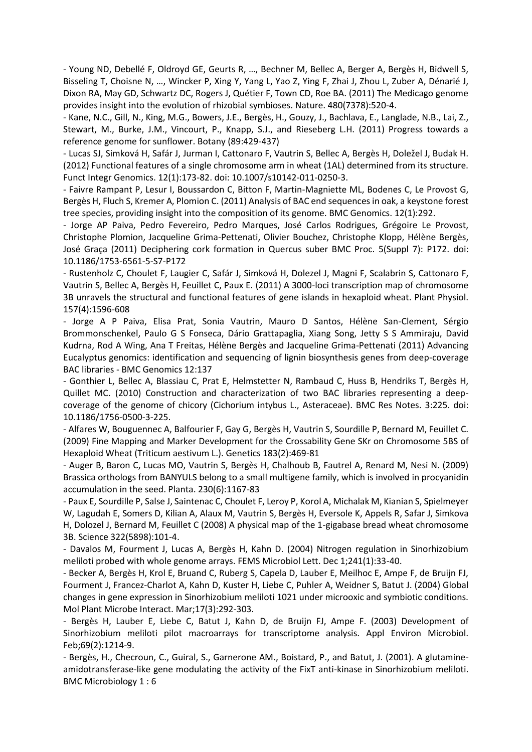- Young ND, Debellé F, Oldroyd GE, Geurts R, …, Bechner M, Bellec A, Berger A, Bergès H, Bidwell S, Bisseling T, Choisne N, …, Wincker P, Xing Y, Yang L, Yao Z, Ying F, Zhai J, Zhou L, Zuber A, Dénarié J, Dixon RA, May GD, Schwartz DC, Rogers J, Quétier F, Town CD, Roe BA. (2011) The Medicago genome provides insight into the evolution of rhizobial symbioses. Nature. 480(7378):520-4.

- Kane, N.C., Gill, N., King, M.G., Bowers, J.E., Bergès, H., Gouzy, J., Bachlava, E., Langlade, N.B., Lai, Z., Stewart, M., Burke, J.M., Vincourt, P., Knapp, S.J., and Rieseberg L.H. (2011) Progress towards a reference genome for sunflower. Botany (89:429-437)

- Lucas SJ, Simková H, Safár J, Jurman I, Cattonaro F, Vautrin S, Bellec A, Bergès H, Doležel J, Budak H. (2012) Functional features of a single chromosome arm in wheat (1AL) determined from its structure. Funct Integr Genomics. 12(1):173-82. doi: 10.1007/s10142-011-0250-3.

- Faivre Rampant P, Lesur I, Boussardon C, Bitton F, Martin-Magniette ML, Bodenes C, Le Provost G, Bergès H, Fluch S, Kremer A, Plomion C. (2011) Analysis of BAC end sequences in oak, a keystone forest tree species, providing insight into the composition of its genome. BMC Genomics. 12(1):292.

- Jorge AP Paiva, Pedro Fevereiro, Pedro Marques, José Carlos Rodrigues, Grégoire Le Provost, Christophe Plomion, Jacqueline Grima-Pettenati, Olivier Bouchez, Christophe Klopp, Hélène Bergès, José Graça (2011) Deciphering cork formation in Quercus suber BMC Proc. 5(Suppl 7): P172. doi: 10.1186/1753-6561-5-S7-P172

- Rustenholz C, Choulet F, Laugier C, Safár J, Simková H, Dolezel J, Magni F, Scalabrin S, Cattonaro F, Vautrin S, Bellec A, Bergès H, Feuillet C, Paux E. (2011) A 3000-loci transcription map of chromosome 3B unravels the structural and functional features of gene islands in hexaploid wheat. Plant Physiol. 157(4):1596-608

- Jorge A P Paiva, Elisa Prat, Sonia Vautrin, Mauro D Santos, Hélène San-Clement, Sérgio Brommonschenkel, Paulo G S Fonseca, Dário Grattapaglia, Xiang Song, Jetty S S Ammiraju, David Kudrna, Rod A Wing, Ana T Freitas, Hélène Bergès and Jacqueline Grima-Pettenati (2011) Advancing Eucalyptus genomics: identification and sequencing of lignin biosynthesis genes from deep-coverage BAC libraries - BMC Genomics 12:137

- Gonthier L, Bellec A, Blassiau C, Prat E, Helmstetter N, Rambaud C, Huss B, Hendriks T, Bergès H, Quillet MC. (2010) Construction and characterization of two BAC libraries representing a deepcoverage of the genome of chicory (Cichorium intybus L., Asteraceae). BMC Res Notes. 3:225. doi: 10.1186/1756-0500-3-225.

- Alfares W, Bouguennec A, Balfourier F, Gay G, Bergès H, Vautrin S, Sourdille P, Bernard M, Feuillet C. (2009) Fine Mapping and Marker Development for the Crossability Gene SKr on Chromosome 5BS of Hexaploid Wheat (Triticum aestivum L.). Genetics 183(2):469-81

- Auger B, Baron C, Lucas MO, Vautrin S, Bergès H, Chalhoub B, Fautrel A, Renard M, Nesi N. (2009) Brassica orthologs from BANYULS belong to a small multigene family, which is involved in procyanidin accumulation in the seed. Planta. 230(6):1167-83

- Paux E, Sourdille P, Salse J, Saintenac C, Choulet F, Leroy P, Korol A, Michalak M, Kianian S, Spielmeyer W, Lagudah E, Somers D, Kilian A, Alaux M, Vautrin S, Bergès H, Eversole K, Appels R, Safar J, Simkova H, Dolozel J, Bernard M, Feuillet C (2008) A physical map of the 1-gigabase bread wheat chromosome 3B. Science 322(5898):101-4.

- Davalos M, Fourment J, Lucas A, Bergès H, Kahn D. (2004) Nitrogen regulation in Sinorhizobium meliloti probed with whole genome arrays. FEMS Microbiol Lett. Dec 1;241(1):33-40.

- Becker A, Bergès H, Krol E, Bruand C, Ruberg S, Capela D, Lauber E, Meilhoc E, Ampe F, de Bruijn FJ, Fourment J, Francez-Charlot A, Kahn D, Kuster H, Liebe C, Puhler A, Weidner S, Batut J. (2004) Global changes in gene expression in Sinorhizobium meliloti 1021 under microoxic and symbiotic conditions. Mol Plant Microbe Interact. Mar;17(3):292-303.

- Bergès H, Lauber E, Liebe C, Batut J, Kahn D, de Bruijn FJ, Ampe F. (2003) Development of Sinorhizobium meliloti pilot macroarrays for transcriptome analysis. Appl Environ Microbiol. Feb;69(2):1214-9.

- Bergès, H., Checroun, C., Guiral, S., Garnerone AM., Boistard, P., and Batut, J. (2001). A glutamineamidotransferase-like gene modulating the activity of the FixT anti-kinase in Sinorhizobium meliloti. BMC Microbiology 1 : 6